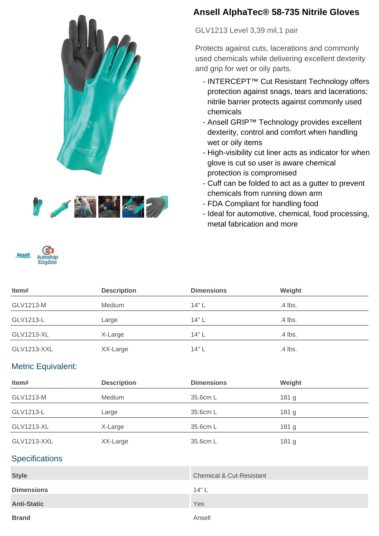



# **Ansell AlphaTec® 58-735 Nitrile Gloves**

GLV1213 Level 3,39 mil,1 pair

Protects against cuts, lacerations and commonly used chemicals while delivering excellent dexterity and grip for wet or oily parts.

- INTERCEPT<sup>™</sup> Cut Resistant Technology offers protection against snags, tears and lacerations; nitrile barrier protects against commonly used chemicals
- Ansell GRIP™ Technology provides excellent dexterity, control and comfort when handling wet or oily items
- High-visibility cut liner acts as indicator for when glove is cut so user is aware chemical protection is compromised
- Cuff can be folded to act as a gutter to prevent chemicals from running down arm
- FDA Compliant for handling food
- Ideal for automotive, chemical, food processing, metal fabrication and more

| Item#             | <b>Description</b> | <b>Dimensions</b> | Weight  |
|-------------------|--------------------|-------------------|---------|
| GLV1213-M         | Medium             | 14"L              | .4 lbs. |
| GLV1213-L         | Large              | 14" L             | .4 lbs. |
| <b>GLV1213-XL</b> | X-Large            | 14"L              | .4 lbs. |
| GLV1213-XXL       | XX-Large           | 14"L              | .4 lbs. |

### Metric Equivalent:

Ansell

| Item#              | <b>Description</b> | <b>Dimensions</b> | Weight           |
|--------------------|--------------------|-------------------|------------------|
| GLV1213-M          | Medium             | 35.6cm L          | 181 <sub>g</sub> |
| GLV1213-L          | Large              | 35.6cm L          | 181 <sub>g</sub> |
| GLV1213-XL         | X-Large            | 35.6cm L          | 181 <sub>g</sub> |
| <b>GLV1213-XXL</b> | XX-Large           | 35.6cm L          | 181 <sub>g</sub> |

### **Specifications**

| <b>Style</b>       | <b>Chemical &amp; Cut-Resistant</b> |
|--------------------|-------------------------------------|
| <b>Dimensions</b>  | 14" L                               |
| <b>Anti-Static</b> | Yes                                 |
| <b>Brand</b>       | Ansell                              |